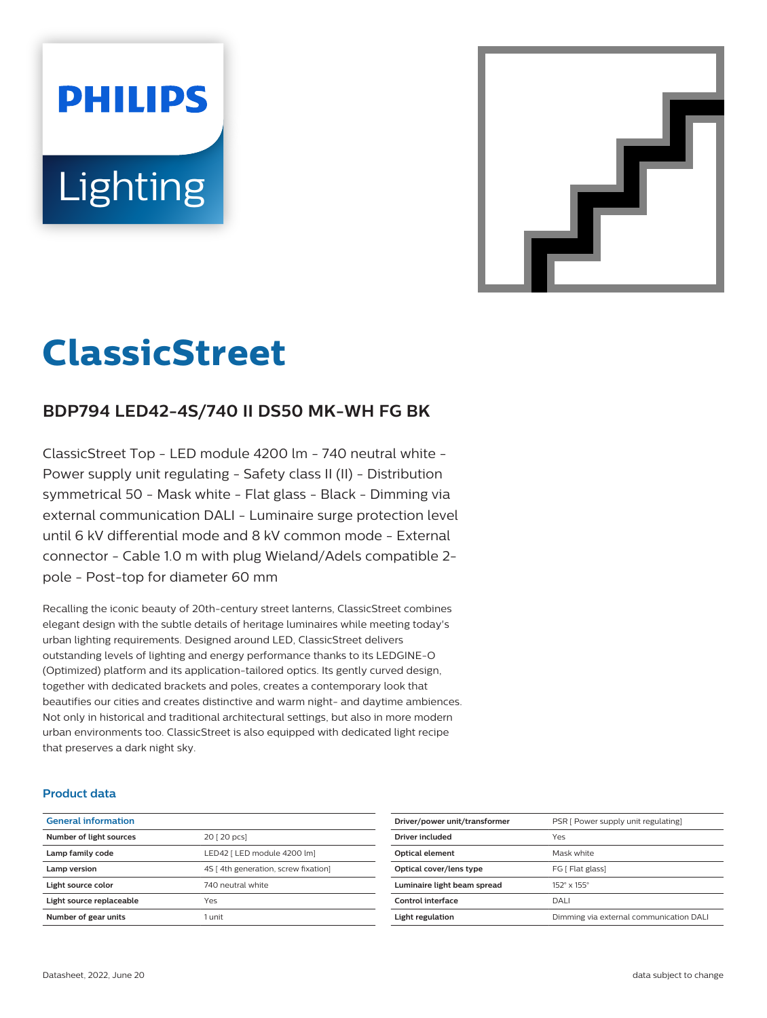# **PHILIPS** Lighting



# **ClassicStreet**

## **BDP794 LED42-4S/740 II DS50 MK-WH FG BK**

ClassicStreet Top - LED module 4200 lm - 740 neutral white - Power supply unit regulating - Safety class II (II) - Distribution symmetrical 50 - Mask white - Flat glass - Black - Dimming via external communication DALI - Luminaire surge protection level until 6 kV differential mode and 8 kV common mode - External connector - Cable 1.0 m with plug Wieland/Adels compatible 2 pole - Post-top for diameter 60 mm

Recalling the iconic beauty of 20th-century street lanterns, ClassicStreet combines elegant design with the subtle details of heritage luminaires while meeting today's urban lighting requirements. Designed around LED, ClassicStreet delivers outstanding levels of lighting and energy performance thanks to its LEDGINE-O (Optimized) platform and its application-tailored optics. Its gently curved design, together with dedicated brackets and poles, creates a contemporary look that beautifies our cities and creates distinctive and warm night- and daytime ambiences. Not only in historical and traditional architectural settings, but also in more modern urban environments too. ClassicStreet is also equipped with dedicated light recipe that preserves a dark night sky.

#### **Product data**

| <b>General information</b> |                                     |
|----------------------------|-------------------------------------|
| Number of light sources    | 20 [ 20 pcs]                        |
| Lamp family code           | LED42   LED module 4200 lm]         |
| Lamp version               | 4S [4th generation, screw fixation] |
| Light source color         | 740 neutral white                   |
| Light source replaceable   | Yes                                 |
| Number of gear units       | 1 unit                              |
|                            |                                     |

| Driver/power unit/transformer | PSR [ Power supply unit regulating]     |
|-------------------------------|-----------------------------------------|
| Driver included               | Yes                                     |
| <b>Optical element</b>        | Mask white                              |
| Optical cover/lens type       | FG [ Flat glass]                        |
| Luminaire light beam spread   | 152° x 155°                             |
| Control interface             | DALI                                    |
| Light regulation              | Dimming via external communication DALI |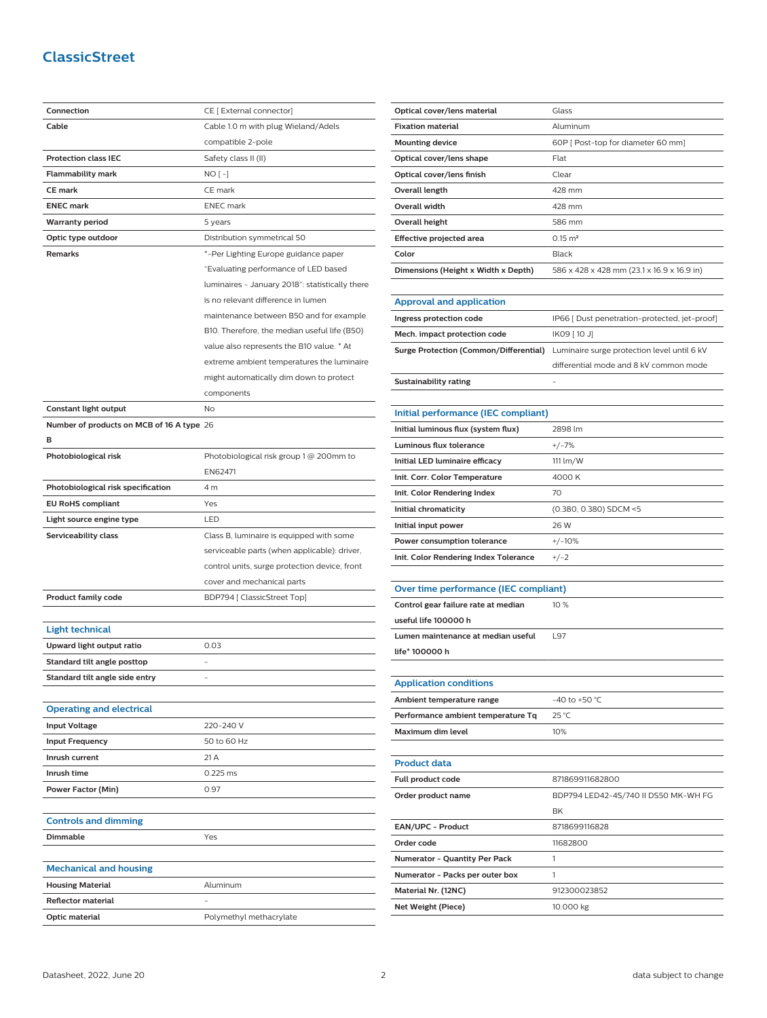### **ClassicStreet**

| Connection                                | CE [ External connector]                        |
|-------------------------------------------|-------------------------------------------------|
| Cable                                     | Cable 1.0 m with plug Wieland/Adels             |
|                                           | compatible 2-pole                               |
| <b>Protection class IEC</b>               | Safety class II (II)                            |
| <b>Flammability mark</b>                  | $NO[-]$                                         |
| <b>CE mark</b>                            | CE mark                                         |
| <b>ENEC mark</b>                          | <b>ENEC</b> mark                                |
| <b>Warranty period</b>                    | 5 years                                         |
| Optic type outdoor                        | Distribution symmetrical 50                     |
| Remarks                                   | *-Per Lighting Europe guidance paper            |
|                                           | "Evaluating performance of LED based            |
|                                           | luminaires - January 2018": statistically there |
|                                           | is no relevant difference in lumen              |
|                                           | maintenance between B50 and for example         |
|                                           | B10. Therefore, the median useful life (B50)    |
|                                           | value also represents the B10 value. * At       |
|                                           | extreme ambient temperatures the luminaire      |
|                                           | might automatically dim down to protect         |
|                                           | components                                      |
| Constant light output                     | No                                              |
| Number of products on MCB of 16 A type 26 |                                                 |
| в                                         |                                                 |
| Photobiological risk                      | Photobiological risk group 1 @ 200mm to         |
|                                           | EN62471                                         |
| Photobiological risk specification        | 4 m                                             |
| <b>EU RoHS compliant</b>                  | Yes                                             |
| Light source engine type                  | LED                                             |
| Serviceability class                      | Class B, luminaire is equipped with some        |
|                                           | serviceable parts (when applicable): driver,    |
|                                           | control units, surge protection device, front   |
|                                           | cover and mechanical parts                      |
| Product family code                       | BDP794 [ ClassicStreet Top]                     |
|                                           |                                                 |
| <b>Light technical</b>                    |                                                 |
| Upward light output ratio                 | 0.03                                            |
| Standard tilt angle posttop               |                                                 |
| Standard tilt angle side entry            |                                                 |
|                                           |                                                 |
| <b>Operating and electrical</b>           |                                                 |
| <b>Input Voltage</b>                      | 220-240 V                                       |
| <b>Input Frequency</b>                    | 50 to 60 Hz                                     |
| Inrush current                            | 21 A                                            |
| Inrush time                               | 0.225 ms                                        |
| <b>Power Factor (Min)</b>                 | 0.97                                            |
|                                           |                                                 |
| <b>Controls and dimming</b>               |                                                 |
| Dimmable                                  | Yes                                             |
|                                           |                                                 |
| <b>Mechanical and housing</b>             |                                                 |
| <b>Housing Material</b>                   | Aluminum                                        |
| <b>Reflector material</b>                 |                                                 |
|                                           | Polymethyl methacrylate                         |
| Optic material                            |                                                 |

| Optical cover/lens material                   | Glass                                         |
|-----------------------------------------------|-----------------------------------------------|
| <b>Fixation material</b>                      | Aluminum                                      |
| <b>Mounting device</b>                        | 60P [ Post-top for diameter 60 mm]            |
| Optical cover/lens shape                      | Flat                                          |
| Optical cover/lens finish                     | Clear                                         |
| <b>Overall length</b>                         | 428 mm                                        |
| <b>Overall width</b>                          | 428 mm                                        |
| <b>Overall height</b>                         | 586 mm                                        |
| Effective projected area                      | $0.15 \text{ m}^2$                            |
| Color                                         | Black                                         |
| Dimensions (Height x Width x Depth)           | 586 x 428 x 428 mm (23.1 x 16.9 x 16.9 in)    |
|                                               |                                               |
| <b>Approval and application</b>               |                                               |
| Ingress protection code                       | IP66 [ Dust penetration-protected, jet-proof] |
| Mech. impact protection code                  | IK09 [ 10 J]                                  |
| <b>Surge Protection (Common/Differential)</b> | Luminaire surge protection level until 6 kV   |
|                                               | differential mode and 8 kV common mode        |
| <b>Sustainability rating</b>                  |                                               |
|                                               |                                               |
| Initial performance (IEC compliant)           |                                               |
| Initial luminous flux (system flux)           | 2898 lm                                       |
| Luminous flux tolerance                       | $+/-7%$                                       |
| Initial LED luminaire efficacy                | 111 lm/W                                      |
| Init. Corr. Color Temperature                 | 4000 K                                        |
| Init. Color Rendering Index                   | 70                                            |
| Initial chromaticity                          | (0.380, 0.380) SDCM <5<br>26 W                |
| Initial input power                           |                                               |
| Power consumption tolerance                   | $+/-10%$                                      |
| Init. Color Rendering Index Tolerance         | $+/-2$                                        |
| Over time performance (IEC compliant)         |                                               |
| Control gear failure rate at median           | 10%                                           |
| useful life 100000 h                          |                                               |
| Lumen maintenance at median useful            | L97                                           |
| life* 100000 h                                |                                               |
|                                               |                                               |
| <b>Application conditions</b>                 |                                               |
| Ambient temperature range                     | $-40$ to $+50$ °C                             |
| Performance ambient temperature Tq            | 25 °C                                         |
| Maximum dim level                             | 10%                                           |
|                                               |                                               |
| <b>Product data</b>                           |                                               |
| Full product code                             | 871869911682800                               |
| Order product name                            | BDP794 LED42-4S/740 II DS50 MK-WH FG          |
|                                               | ΒK                                            |
| EAN/UPC - Product                             | 8718699116828                                 |
| Order code                                    | 11682800                                      |

**Order code** 11682800 **Numerator - Quantity Per Pack** 1 **Numerator - Packs per outer box** 1 **Material Nr. (12NC)** 912300023852 **Net Weight (Piece)** 10.000 kg